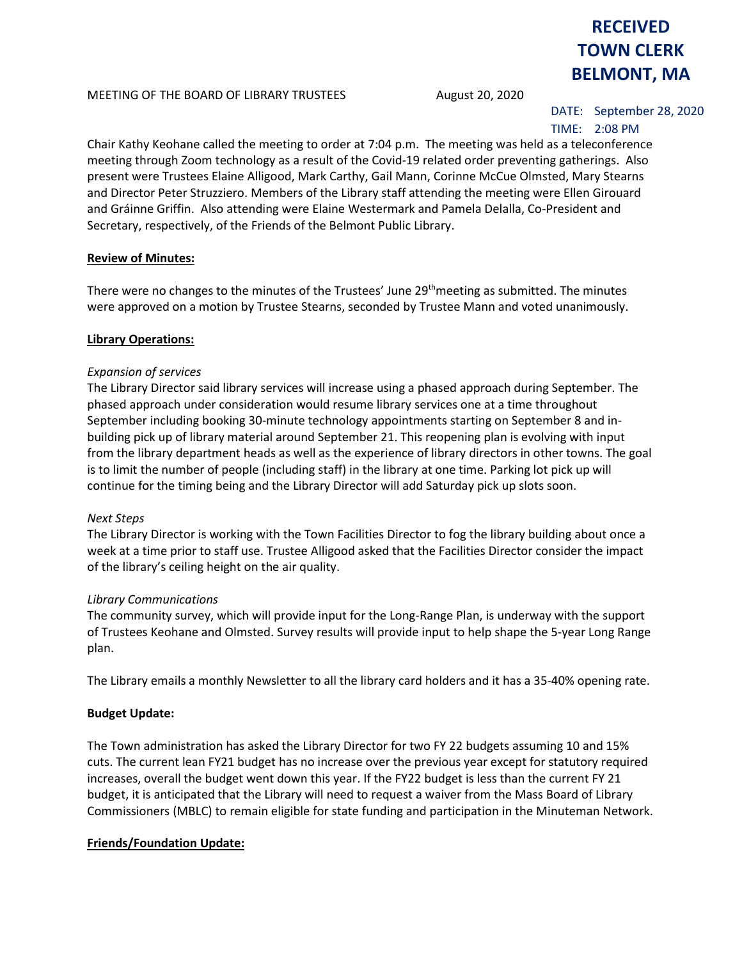#### MEETING OF THE BOARD OF LIBRARY TRUSTEES August 20, 2020

# DATE: September 28, 2020

**RECEIVED TOWN CLERK BELMONT, MA**

# TIME: 2:08 PM

Chair Kathy Keohane called the meeting to order at 7:04 p.m. The meeting was held as a teleconference meeting through Zoom technology as a result of the Covid-19 related order preventing gatherings. Also present were Trustees Elaine Alligood, Mark Carthy, Gail Mann, Corinne McCue Olmsted, Mary Stearns and Director Peter Struzziero. Members of the Library staff attending the meeting were Ellen Girouard and Gráinne Griffin. Also attending were Elaine Westermark and Pamela Delalla, Co-President and Secretary, respectively, of the Friends of the Belmont Public Library.

# **Review of Minutes:**

There were no changes to the minutes of the Trustees' June 29<sup>th</sup>meeting as submitted. The minutes were approved on a motion by Trustee Stearns, seconded by Trustee Mann and voted unanimously.

#### **Library Operations:**

#### *Expansion of services*

The Library Director said library services will increase using a phased approach during September. The phased approach under consideration would resume library services one at a time throughout September including booking 30-minute technology appointments starting on September 8 and inbuilding pick up of library material around September 21. This reopening plan is evolving with input from the library department heads as well as the experience of library directors in other towns. The goal is to limit the number of people (including staff) in the library at one time. Parking lot pick up will continue for the timing being and the Library Director will add Saturday pick up slots soon.

#### *Next Steps*

The Library Director is working with the Town Facilities Director to fog the library building about once a week at a time prior to staff use. Trustee Alligood asked that the Facilities Director consider the impact of the library's ceiling height on the air quality.

#### *Library Communications*

The community survey, which will provide input for the Long-Range Plan, is underway with the support of Trustees Keohane and Olmsted. Survey results will provide input to help shape the 5-year Long Range plan.

The Library emails a monthly Newsletter to all the library card holders and it has a 35-40% opening rate.

# **Budget Update:**

The Town administration has asked the Library Director for two FY 22 budgets assuming 10 and 15% cuts. The current lean FY21 budget has no increase over the previous year except for statutory required increases, overall the budget went down this year. If the FY22 budget is less than the current FY 21 budget, it is anticipated that the Library will need to request a waiver from the Mass Board of Library Commissioners (MBLC) to remain eligible for state funding and participation in the Minuteman Network.

# **Friends/Foundation Update:**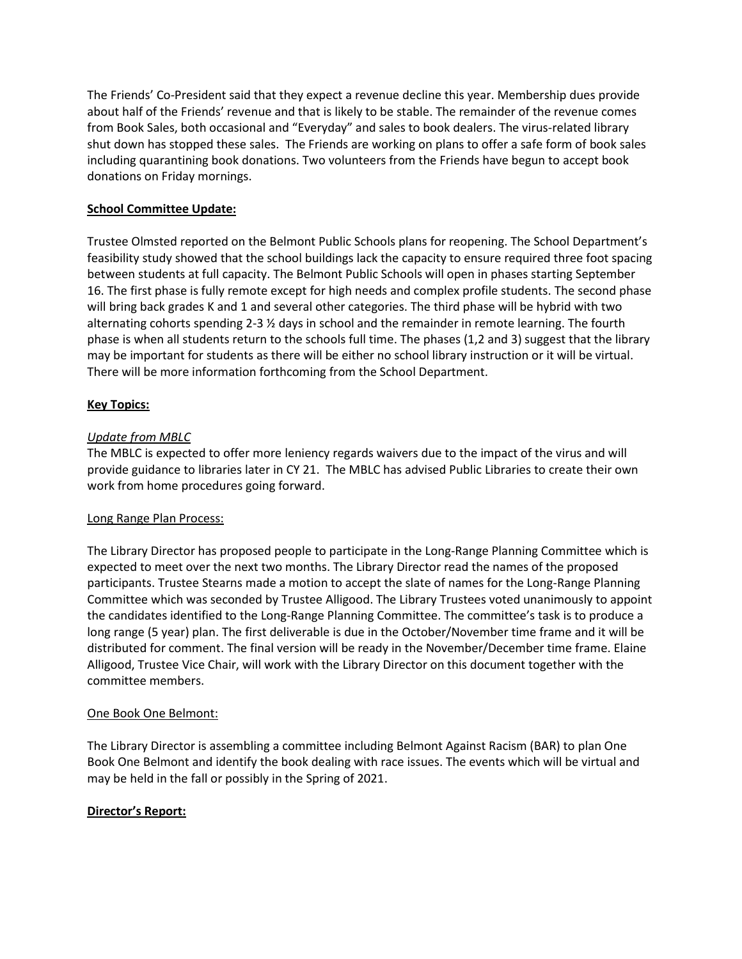The Friends' Co-President said that they expect a revenue decline this year. Membership dues provide about half of the Friends' revenue and that is likely to be stable. The remainder of the revenue comes from Book Sales, both occasional and "Everyday" and sales to book dealers. The virus-related library shut down has stopped these sales. The Friends are working on plans to offer a safe form of book sales including quarantining book donations. Two volunteers from the Friends have begun to accept book donations on Friday mornings.

# **School Committee Update:**

Trustee Olmsted reported on the Belmont Public Schools plans for reopening. The School Department's feasibility study showed that the school buildings lack the capacity to ensure required three foot spacing between students at full capacity. The Belmont Public Schools will open in phases starting September 16. The first phase is fully remote except for high needs and complex profile students. The second phase will bring back grades K and 1 and several other categories. The third phase will be hybrid with two alternating cohorts spending 2-3 ½ days in school and the remainder in remote learning. The fourth phase is when all students return to the schools full time. The phases (1,2 and 3) suggest that the library may be important for students as there will be either no school library instruction or it will be virtual. There will be more information forthcoming from the School Department.

# **Key Topics:**

# *Update from MBLC*

The MBLC is expected to offer more leniency regards waivers due to the impact of the virus and will provide guidance to libraries later in CY 21. The MBLC has advised Public Libraries to create their own work from home procedures going forward.

# Long Range Plan Process:

The Library Director has proposed people to participate in the Long-Range Planning Committee which is expected to meet over the next two months. The Library Director read the names of the proposed participants. Trustee Stearns made a motion to accept the slate of names for the Long-Range Planning Committee which was seconded by Trustee Alligood. The Library Trustees voted unanimously to appoint the candidates identified to the Long-Range Planning Committee. The committee's task is to produce a long range (5 year) plan. The first deliverable is due in the October/November time frame and it will be distributed for comment. The final version will be ready in the November/December time frame. Elaine Alligood, Trustee Vice Chair, will work with the Library Director on this document together with the committee members.

# One Book One Belmont:

The Library Director is assembling a committee including Belmont Against Racism (BAR) to plan One Book One Belmont and identify the book dealing with race issues. The events which will be virtual and may be held in the fall or possibly in the Spring of 2021.

# **Director's Report:**